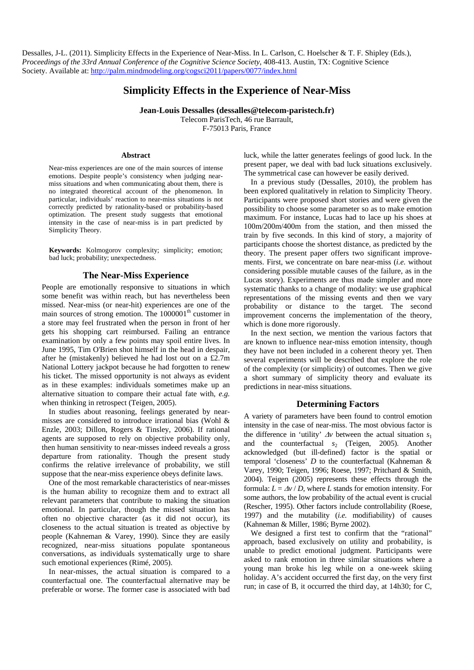Dessalles, J-L. (2011). Simplicity Effects in the Experience of Near-Miss. In L. Carlson, C. Hoelscher & T. F. Shipley (Eds.), *Proceedings of the 33rd Annual Conference of the Cognitive Science Society*, 408-413. Austin, TX: Cognitive Science Society. Available at: http://palm.mindmodeling.org/cogsci2011/papers/0077/index.html

# **Simplicity Effects in the Experience of Near-Miss**

**Jean-Louis Dessalles (dessalles@telecom-paristech.fr)**  Telecom ParisTech, 46 rue Barrault, F-75013 Paris, France

#### **Abstract**

Near-miss experiences are one of the main sources of intense emotions. Despite people's consistency when judging nearmiss situations and when communicating about them, there is no integrated theoretical account of the phenomenon. In particular, individuals' reaction to near-miss situations is not correctly predicted by rationality-based or probability-based optimization. The present study suggests that emotional intensity in the case of near-miss is in part predicted by Simplicity Theory.

**Keywords:** Kolmogorov complexity; simplicity; emotion; bad luck; probability; unexpectedness.

### **The Near-Miss Experience**

People are emotionally responsive to situations in which some benefit was within reach, but has nevertheless been missed. Near-miss (or near-hit) experiences are one of the main sources of strong emotion. The 1000001<sup>th</sup> customer in a store may feel frustrated when the person in front of her gets his shopping cart reimbursed. Failing an entrance examination by only a few points may spoil entire lives. In June 1995, Tim O'Brien shot himself in the head in despair, after he (mistakenly) believed he had lost out on a £2.7m National Lottery jackpot because he had forgotten to renew his ticket. The missed opportunity is not always as evident as in these examples: individuals sometimes make up an alternative situation to compare their actual fate with, *e.g.* when thinking in retrospect (Teigen, 2005).

In studies about reasoning, feelings generated by nearmisses are considered to introduce irrational bias (Wohl & Enzle, 2003; Dillon, Rogers & Tinsley, 2006). If rational agents are supposed to rely on objective probability only, then human sensitivity to near-misses indeed reveals a gross departure from rationality. Though the present study confirms the relative irrelevance of probability, we still suppose that the near-miss experience obeys definite laws.

One of the most remarkable characteristics of near-misses is the human ability to recognize them and to extract all relevant parameters that contribute to making the situation emotional. In particular, though the missed situation has often no objective character (as it did not occur), its closeness to the actual situation is treated as objective by people (Kahneman & Varey, 1990). Since they are easily recognized, near-miss situations populate spontaneous conversations, as individuals systematically urge to share such emotional experiences (Rimé, 2005).

In near-misses, the actual situation is compared to a counterfactual one. The counterfactual alternative may be preferable or worse. The former case is associated with bad luck, while the latter generates feelings of good luck. In the present paper, we deal with bad luck situations exclusively. The symmetrical case can however be easily derived.

In a previous study (Dessalles, 2010), the problem has been explored qualitatively in relation to Simplicity Theory. Participants were proposed short stories and were given the possibility to choose some parameter so as to make emotion maximum. For instance, Lucas had to lace up his shoes at 100m/200m/400m from the station, and then missed the train by five seconds. In this kind of story, a majority of participants choose the shortest distance, as predicted by the theory. The present paper offers two significant improvements. First, we concentrate on bare near-miss (*i.e.* without considering possible mutable causes of the failure, as in the Lucas story). Experiments are thus made simpler and more systematic thanks to a change of modality: we use graphical representations of the missing events and then we vary probability or distance to the target. The second improvement concerns the implementation of the theory, which is done more rigorously.

In the next section, we mention the various factors that are known to influence near-miss emotion intensity, though they have not been included in a coherent theory yet. Then several experiments will be described that explore the role of the complexity (or simplicity) of outcomes. Then we give a short summary of simplicity theory and evaluate its predictions in near-miss situations.

### **Determining Factors**

A variety of parameters have been found to control emotion intensity in the case of near-miss. The most obvious factor is the difference in 'utility'  $\Delta v$  between the actual situation  $s_1$ and the counterfactual  $s_2$  (Teigen, 2005). Another acknowledged (but ill-defined) factor is the spatial or temporal 'closeness' *D* to the counterfactual (Kahneman & Varey, 1990; Teigen, 1996; Roese, 1997; Pritchard & Smith, 2004). Teigen (2005) represents these effects through the formula:  $L = \frac{\Delta v}{D}$ , where *L* stands for emotion intensity. For some authors, the low probability of the actual event is crucial (Rescher, 1995). Other factors include controllability (Roese, 1997) and the mutability (*i.e.* modifiability) of causes (Kahneman & Miller, 1986; Byrne 2002).

We designed a first test to confirm that the "rational" approach, based exclusively on utility and probability, is unable to predict emotional judgment. Participants were asked to rank emotion in three similar situations where a young man broke his leg while on a one-week skiing holiday. A's accident occurred the first day, on the very first run; in case of B, it occurred the third day, at 14h30; for C,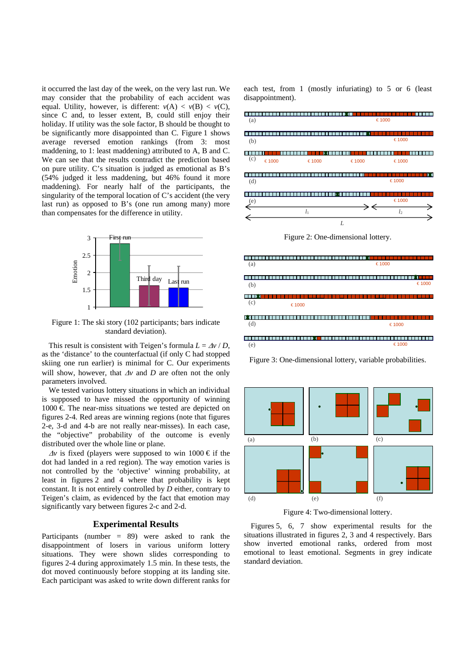it occurred the last day of the week, on the very last run. We may consider that the probability of each accident was equal. Utility, however, is different:  $v(A) < v(B) < v(C)$ , since C and, to lesser extent, B, could still enjoy their holiday. If utility was the sole factor, B should be thought to be significantly more disappointed than C. Figure 1 shows average reversed emotion rankings (from 3: most maddening, to 1: least maddening) attributed to A, B and C. We can see that the results contradict the prediction based on pure utility. C's situation is judged as emotional as B's (54% judged it less maddening, but 46% found it more maddening). For nearly half of the participants, the singularity of the temporal location of C's accident (the very last run) as opposed to B's (one run among many) more than compensates for the difference in utility.



Figure 1: The ski story (102 participants; bars indicate standard deviation).

This result is consistent with Teigen's formula  $L = Av/D$ . as the 'distance' to the counterfactual (if only C had stopped skiing one run earlier) is minimal for C. Our experiments will show, however, that  $\Delta v$  and  $D$  are often not the only parameters involved.

We tested various lottery situations in which an individual is supposed to have missed the opportunity of winning  $1000 \text{ } \in \text{ The near-miss situations we tested are depicted on }$ figures 2-4. Red areas are winning regions (note that figures 2-e, 3-d and 4-b are not really near-misses). In each case, the "objective" probability of the outcome is evenly distributed over the whole line or plane.

 $\Delta v$  is fixed (players were supposed to win 1000 € if the dot had landed in a red region). The way emotion varies is not controlled by the 'objective' winning probability, at least in figures 2 and 4 where that probability is kept constant. It is not entirely controlled by *D* either, contrary to Teigen's claim, as evidenced by the fact that emotion may significantly vary between figures 2-c and 2-d.

## **Experimental Results**

Participants (number  $= 89$ ) were asked to rank the disappointment of losers in various uniform lottery situations. They were shown slides corresponding to figures 2-4 during approximately 1.5 min. In these tests, the dot moved continuously before stopping at its landing site. Each participant was asked to write down different ranks for each test, from 1 (mostly infuriating) to 5 or 6 (least disappointment).



Figure 2: One-dimensional lottery.



Figure 3: One-dimensional lottery, variable probabilities.



Figure 4: Two-dimensional lottery.

Figures 5, 6, 7 show experimental results for the situations illustrated in figures 2, 3 and 4 respectively. Bars show inverted emotional ranks, ordered from most emotional to least emotional. Segments in grey indicate standard deviation.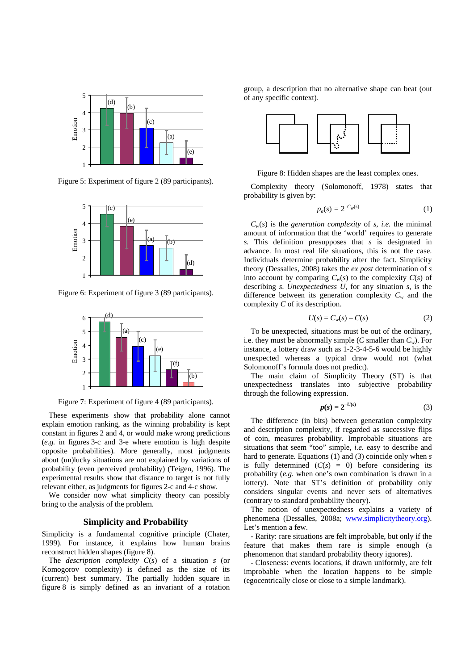

Figure 5: Experiment of figure 2 (89 participants).



Figure 6: Experiment of figure 3 (89 participants).



Figure 7: Experiment of figure 4 (89 participants).

These experiments show that probability alone cannot explain emotion ranking, as the winning probability is kept constant in figures 2 and 4, or would make wrong predictions (*e.g.* in figures 3-c and 3-e where emotion is high despite opposite probabilities). More generally, most judgments about (un)lucky situations are not explained by variations of probability (even perceived probability) (Teigen, 1996). The experimental results show that distance to target is not fully relevant either, as judgments for figures 2-c and 4-c show.

We consider now what simplicity theory can possibly bring to the analysis of the problem.

### **Simplicity and Probability**

Simplicity is a fundamental cognitive principle (Chater, 1999). For instance, it explains how human brains reconstruct hidden shapes (figure 8).

The *description complexity C*(*s*) of a situation *s* (or Komogorov complexity) is defined as the size of its (current) best summary. The partially hidden square in figure 8 is simply defined as an invariant of a rotation

group, a description that no alternative shape can beat (out of any specific context).



Figure 8: Hidden shapes are the least complex ones.

Complexity theory (Solomonoff, 1978) states that probability is given by:

$$
p_a(s) = 2^{-C_w(s)} \tag{1}
$$

 $C_w(s)$  is the *generation complexity* of *s*, *i.e.* the minimal amount of information that the 'world' requires to generate *s.* This definition presupposes that *s* is designated in advance. In most real life situations, this is not the case. Individuals determine probability after the fact. Simplicity theory (Dessalles, 2008) takes the *ex post* determination of *s* into account by comparing  $C_w(s)$  to the complexity  $C(s)$  of describing *s*. *Unexpectedness U*, for any situation *s*, is the difference between its generation complexity  $C_w$  and the complexity *C* of its description.

$$
U(s) = C_w(s) - C(s) \tag{2}
$$

To be unexpected, situations must be out of the ordinary, i.e. they must be abnormally simple  $(C \text{ smaller than } C_w)$ . For instance, a lottery draw such as 1-2-3-4-5-6 would be highly unexpected whereas a typical draw would not (what Solomonoff's formula does not predict).

The main claim of Simplicity Theory (ST) is that unexpectedness translates into subjective probability through the following expression.

$$
p(s) = 2^{-U(s)}\tag{3}
$$

The difference (in bits) between generation complexity and description complexity, if regarded as successive flips of coin, measures probability. Improbable situations are situations that seem "too" simple, *i.e.* easy to describe and hard to generate. Equations (1) and (3) coincide only when *s* is fully determined  $(C(s) = 0)$  before considering its probability (*e.g.* when one's own combination is drawn in a lottery). Note that ST's definition of probability only considers singular events and never sets of alternatives (contrary to standard probability theory).

The notion of unexpectedness explains a variety of phenomena (Dessalles, 2008a; www.simplicitytheory.org). Let's mention a few.

- Rarity: rare situations are felt improbable, but only if the feature that makes them rare is simple enough (a phenomenon that standard probability theory ignores).

- Closeness: events locations, if drawn uniformly, are felt improbable when the location happens to be simple (egocentrically close or close to a simple landmark).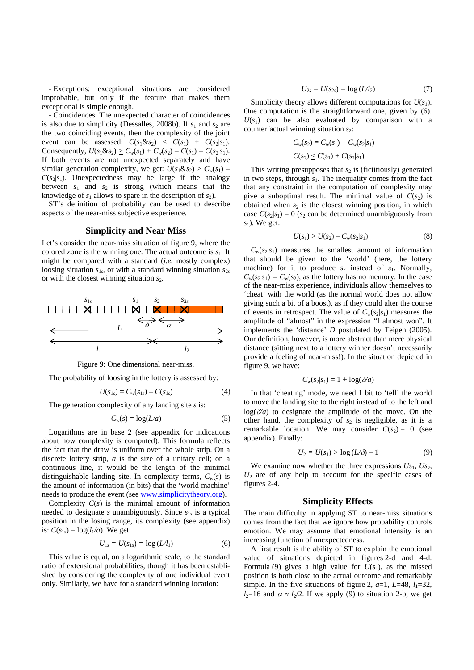- Exceptions: exceptional situations are considered improbable, but only if the feature that makes them exceptional is simple enough.

- Coincidences: The unexpected character of coincidences is also due to simplicity (Dessalles, 2008b). If  $s_1$  and  $s_2$  are the two coinciding events, then the complexity of the joint event can be assessed:  $C(s_1 \& s_2) \leq C(s_1) + C(s_2|s_1)$ . Consequently,  $U(s_1 \& s_2) \geq C_w(s_1) + C_w(s_2) - C(s_1) - C(s_2|s_1).$ If both events are not unexpected separately and have similar generation complexity, we get:  $U(s_1 \& s_2) \geq C_w(s_1)$  –  $C(s_2|s_1)$ . Unexpectedness may be large if the analogy between  $s_1$  and  $s_2$  is strong (which means that the knowledge of  $s_1$  allows to spare in the description of  $s_2$ ).

ST's definition of probability can be used to describe aspects of the near-miss subjective experience.

#### **Simplicity and Near Miss**

Let's consider the near-miss situation of figure 9, where the colored zone is the winning one. The actual outcome is  $s<sub>1</sub>$ . It might be compared with a standard (*i.e.* mostly complex) loosing situation  $s_{1s}$ , or with a standard winning situation  $s_{2s}$ or with the closest winning situation  $s_2$ .



Figure 9: One dimensional near-miss.

The probability of loosing in the lottery is assessed by:

$$
U(s_{1s}) = C_w(s_{1s}) - C(s_{1s})
$$
 (4)

The generation complexity of any landing site *s* is:

$$
C_w(s) = \log(L/a) \tag{5}
$$

Logarithms are in base 2 (see appendix for indications about how complexity is computed). This formula reflects the fact that the draw is uniform over the whole strip. On a discrete lottery strip, *a* is the size of a unitary cell; on a continuous line, it would be the length of the minimal distinguishable landing site. In complexity terms,  $C_w(s)$  is the amount of information (in bits) that the 'world machine' needs to produce the event (see www.simplicitytheory.org).

Complexity  $C(s)$  is the minimal amount of information needed to designate *s* unambiguously. Since *s*1*s* is a typical position in the losing range, its complexity (see appendix) is:  $C(s_{1s}) = \log(l_1/a)$ . We get:

$$
U_{1s} = U(s_{1s}) = \log\left(\frac{L}{l_1}\right) \tag{6}
$$

This value is equal, on a logarithmic scale, to the standard ratio of extensional probabilities, though it has been established by considering the complexity of one individual event only. Similarly, we have for a standard winning location:

$$
U_{2s} = U(s_{2s}) = \log\left(\frac{L}{l_2}\right) \tag{7}
$$

Simplicity theory allows different computations for  $U(s_1)$ . One computation is the straightforward one, given by (6).  $U(s_1)$  can be also evaluated by comparison with a counterfactual winning situation  $s_2$ :

$$
C_w(s_2) = C_w(s_1) + C_w(s_2|s_1)
$$
  

$$
C(s_2) \le C(s_1) + C(s_2|s_1)
$$

This writing presupposes that  $s_2$  is (fictitiously) generated in two steps, through *s*1. The inequality comes from the fact that any constraint in the computation of complexity may give a suboptimal result. The minimal value of  $C(s_2)$  is obtained when  $s_2$  is the closest winning position, in which case  $C(s_2|s_1) = 0$  (*s*<sub>2</sub> can be determined unambiguously from  $s_1$ ). We get:

$$
U(s_1) \ge U(s_2) - C_w(s_2|s_1) \tag{8}
$$

 $C_w(s_2|s_1)$  measures the smallest amount of information that should be given to the 'world' (here, the lottery machine) for it to produce  $s_2$  instead of  $s_1$ . Normally,  $C_w(s_2|s_1) = C_w(s_2)$ , as the lottery has no memory. In the case of the near-miss experience, individuals allow themselves to 'cheat' with the world (as the normal world does not allow giving such a bit of a boost), as if they could alter the course of events in retrospect. The value of  $C_w(s_2|s_1)$  measures the amplitude of "almost" in the expression "I almost won". It implements the 'distance' *D* postulated by Teigen (2005). Our definition, however, is more abstract than mere physical distance (sitting next to a lottery winner doesn't necessarily provide a feeling of near-miss!). In the situation depicted in figure 9, we have:

$$
C_w(s_2|s_1) = 1 + \log(\delta/a)
$$

In that 'cheating' mode, we need 1 bit to 'tell' the world to move the landing site to the right instead of to the left and  $log(\delta/a)$  to designate the amplitude of the move. On the other hand, the complexity of  $s_2$  is negligible, as it is a remarkable location. We may consider  $C(s_2) = 0$  (see appendix). Finally:

$$
U_2 = U(s_1) \ge \log \left( L/\delta \right) - 1 \tag{9}
$$

We examine now whether the three expressions  $Us_1$ ,  $Us_2$ ,  $U_2$  are of any help to account for the specific cases of figures 2-4.

## **Simplicity Effects**

The main difficulty in applying ST to near-miss situations comes from the fact that we ignore how probability controls emotion. We may assume that emotional intensity is an increasing function of unexpectedness.

A first result is the ability of ST to explain the emotional value of situations depicted in figures 2-d and 4-d. Formula (9) gives a high value for  $U(s_1)$ , as the missed position is both close to the actual outcome and remarkably simple. In the five situations of figure 2,  $a=1$ ,  $L=48$ ,  $l_1=32$ ,  $l_2=16$  and  $\alpha \approx l_2/2$ . If we apply (9) to situation 2-b, we get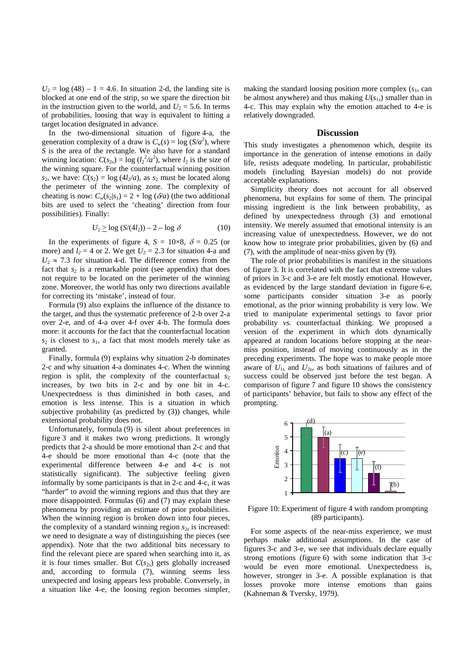$U_2 = \log(48) - 1 = 4.6$ . In situation 2-d, the landing site is blocked at one end of the strip, so we spare the direction bit in the instruction given to the world, and  $U_2 = 5.6$ . In terms of probabilities, loosing that way is equivalent to hitting a target location designated in advance.

In the two-dimensional situation of figure 4-a, the generation complexity of a draw is  $C_w(s) = \log(S/a^2)$ , where *S* is the area of the rectangle. We also have for a standard winning location:  $C(s_{2s}) = \log (l_2^2/a^2)$ , where  $l_2$  is the size of the winning square. For the counterfactual winning position  $s_2$ , we have:  $C(s_2) = \log(4l_2/a)$ , as  $s_2$  must be located along the perimeter of the winning zone. The complexity of cheating is now:  $C_w(s_2|s_1) = 2 + \log (\delta/a)$  (the two additional bits are used to select the 'cheating' direction from four possibilities). Finally:

$$
U_2 \ge \log\left(S/(4l_2)\right) - 2 - \log\delta\tag{10}
$$

In the experiments of figure 4,  $S = 10 \times 8$ ,  $\delta = 0.25$  (or more) and  $l_2 = 4$  or 2. We get  $U_2 = 2.3$  for situation 4-a and  $U_2 \approx 7.3$  for situation 4-d. The difference comes from the fact that  $s_2$  is a remarkable point (see appendix) that does not require to be located on the perimeter of the winning zone. Moreover, the world has only two directions available for correcting its 'mistake', instead of four.

Formula (9) also explains the influence of the distance to the target, and thus the systematic preference of 2-b over 2-a over 2-e, and of 4-a over 4-f over 4-b. The formula does more: it accounts for the fact that the counterfactual location *s*2 is closest to *s*1, a fact that most models merely take as granted.

Finally, formula (9) explains why situation 2-b dominates 2-c and why situation 4-a dominates 4-c. When the winning region is split, the complexity of the counterfactual  $s_2$ increases, by two bits in 2-c and by one bit in 4-c. Unexpectedness is thus diminished in both cases, and emotion is less intense. This is a situation in which subjective probability (as predicted by (3)) changes, while extensional probability does not.

Unfortunately, formula (9) is silent about preferences in figure 3 and it makes two wrong predictions. It wrongly predicts that 2-a should be more emotional than 2-c and that 4-e should be more emotional than 4-c (note that the experimental difference between 4-e and 4-c is not statistically significant). The subjective feeling given informally by some participants is that in 2-c and 4-c, it was "harder" to avoid the winning regions and thus that they are more disappointed. Formulas (6) and (7) may explain these phenomena by providing an estimate of prior probabilities. When the winning region is broken down into four pieces, the complexity of a standard winning region  $s_{2s}$  is increased: we need to designate a way of distinguishing the pieces (see appendix). Note that the two additional bits necessary to find the relevant piece are spared when searching into it, as it is four times smaller. But  $C(s_2)$  gets globally increased and, according to formula (7), winning seems less unexpected and losing appears less probable. Conversely, in a situation like 4-e, the loosing region becomes simpler,

making the standard loosing position more complex  $(s_{1s}$  can be almost anywhere) and thus making  $U(s<sub>1s</sub>)$  smaller than in 4-c. This may explain why the emotion attached to 4-e is relatively downgraded.

#### **Discussion**

This study investigates a phenomenon which, despite its importance in the generation of intense emotions in daily life, resists adequate modeling. In particular, probabilistic models (including Bayesian models) do not provide acceptable explanations.

Simplicity theory does not account for all observed phenomena, but explains for some of them. The principal missing ingredient is the link between probability, as defined by unexpectedness through (3) and emotional intensity. We merely assumed that emotional intensity is an increasing value of unexpectedness. However, we do not know how to integrate prior probabilities, given by (6) and (7), with the amplitude of near-miss given by (9).

The role of prior probabilities is manifest in the situations of figure 3. It is correlated with the fact that extreme values of priors in 3-c and 3-e are felt mostly emotional. However, as evidenced by the large standard deviation in figure 6-e, some participants consider situation 3-e as poorly emotional, as the prior winning probability is very low. We tried to manipulate experimental settings to favor prior probability *vs.* counterfactual thinking. We proposed a version of the experiment in which dots dynamically appeared at random locations before stopping at the nearmiss position, instead of moving continuously as in the preceding experiments. The hope was to make people more aware of  $U_{1s}$  and  $U_{2s}$ , as both situations of failures and of success could be observed just before the test began. A comparison of figure 7 and figure 10 shows the consistency of participants' behavior, but fails to show any effect of the prompting.



Figure 10: Experiment of figure 4 with random prompting (89 participants).

For some aspects of the near-miss experience, we must perhaps make additional assumptions. In the case of figures 3-c and 3-e, we see that individuals declare equally strong emotions (figure 6) with some indication that 3-c would be even more emotional. Unexpectedness is, however, stronger in 3-e. A possible explanation is that losses provoke more intense emotions than gains (Kahneman & Tversky, 1979).